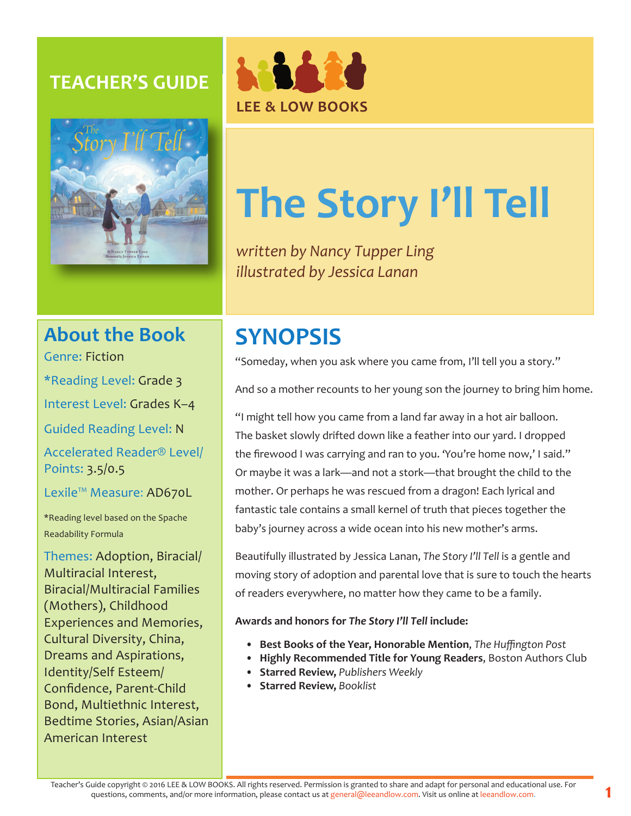### **TEACHER'S GUIDE**





# **The Story I'll Tell**

*written by Nancy Tupper Ling illustrated by Jessica Lanan*

### **About the Book**

Genre: Fiction

\*Reading Level: Grade 3

Interest Level: Grades K–4

Guided Reading Level: N

Accelerated Reader® Level/ Points: 3.5/0.5

Lexile™ Measure: AD670L

\*Reading level based on the Spache Readability Formula

Themes: Adoption, Biracial/ Multiracial Interest, Biracial/Multiracial Families (Mothers), Childhood Experiences and Memories, Cultural Diversity, China, Dreams and Aspirations, Identity/Self Esteem/ Confidence, Parent-Child Bond, Multiethnic Interest, Bedtime Stories, Asian/Asian American Interest

## **SYNOPSIS**

"Someday, when you ask where you came from, I'll tell you a story."

And so a mother recounts to her young son the journey to bring him home.

"I might tell how you came from a land far away in a hot air balloon. The basket slowly drifted down like a feather into our yard. I dropped the firewood I was carrying and ran to you. 'You're home now,' I said." Or maybe it was a lark—and not a stork—that brought the child to the mother. Or perhaps he was rescued from a dragon! Each lyrical and fantastic tale contains a small kernel of truth that pieces together the baby's journey across a wide ocean into his new mother's arms.

Beautifully illustrated by Jessica Lanan, *The Story I'll Tell* is a gentle and moving story of adoption and parental love that is sure to touch the hearts of readers everywhere, no matter how they came to be a family.

**Awards and honors for** *The Story I'll Tell* **include:**

- **• Best Books of the Year, Honorable Mention**, *The Huffington Post*
- **• Highly Recommended Title for Young Readers**, Boston Authors Club
- **• Starred Review,** *Publishers Weekly*
- **• Starred Review,** *Booklist*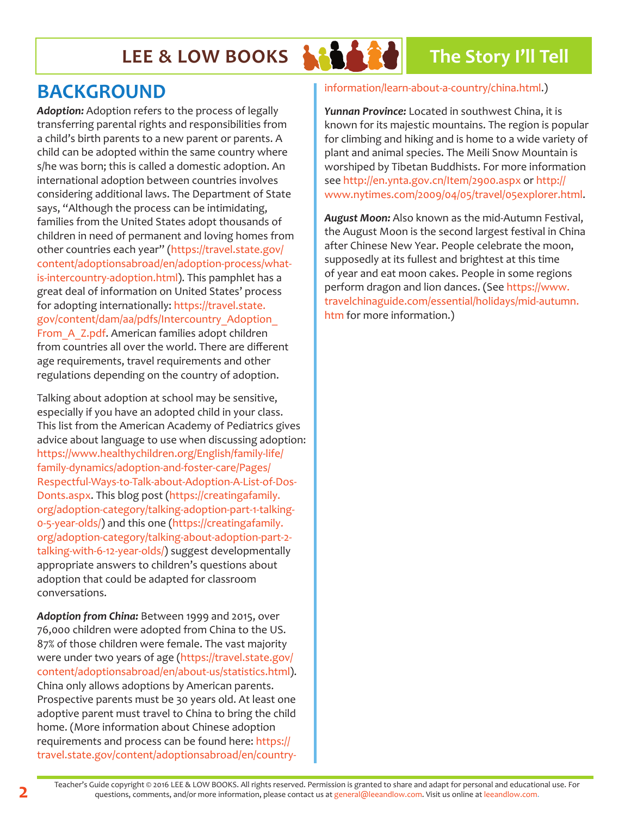## **LEE & LOW BOOKS ARA 28** The Story I'll Tell



### **BACKGROUND**

*Adoption:* Adoption refers to the process of legally transferring parental rights and responsibilities from a child's birth parents to a new parent or parents. A child can be adopted within the same country where s/he was born; this is called a domestic adoption. An international adoption between countries involves considering additional laws. The Department of State says, "Although the process can be intimidating, families from the United States adopt thousands of children in need of permanent and loving homes from other countries each year" (https://travel.state.gov/ content/adoptionsabroad/en/adoption-process/whatis-intercountry-adoption.html). This pamphlet has a great deal of information on United States' process for adopting internationally: https://travel.state. gov/content/dam/aa/pdfs/Intercountry\_Adoption\_ From\_A\_Z.pdf. American families adopt children from countries all over the world. There are different age requirements, travel requirements and other regulations depending on the country of adoption.

Talking about adoption at school may be sensitive, especially if you have an adopted child in your class. This list from the American Academy of Pediatrics gives advice about language to use when discussing adoption: https://www.healthychildren.org/English/family-life/ family-dynamics/adoption-and-foster-care/Pages/ Respectful-Ways-to-Talk-about-Adoption-A-List-of-Dos-Donts.aspx. This blog post (https://creatingafamily. org/adoption-category/talking-adoption-part-1-talking-0-5-year-olds/) and this one (https://creatingafamily. org/adoption-category/talking-about-adoption-part-2 talking-with-6-12-year-olds/) suggest developmentally appropriate answers to children's questions about adoption that could be adapted for classroom conversations.

*Adoption from China:* Between 1999 and 2015, over 76,000 children were adopted from China to the US. 87% of those children were female. The vast majority were under two years of age (https://travel.state.gov/ content/adoptionsabroad/en/about-us/statistics.html). China only allows adoptions by American parents. Prospective parents must be 30 years old. At least one adoptive parent must travel to China to bring the child home. (More information about Chinese adoption requirements and process can be found here: https:// travel.state.gov/content/adoptionsabroad/en/country-

#### information/learn-about-a-country/china.html.)

*Yunnan Province:* Located in southwest China, it is known for its majestic mountains. The region is popular for climbing and hiking and is home to a wide variety of plant and animal species. The Meili Snow Mountain is worshiped by Tibetan Buddhists. For more information see http://en.ynta.gov.cn/Item/2900.aspx or http:// www.nytimes.com/2009/04/05/travel/05explorer.html.

*August Moon:* Also known as the mid-Autumn Festival, the August Moon is the second largest festival in China after Chinese New Year. People celebrate the moon, supposedly at its fullest and brightest at this time of year and eat moon cakes. People in some regions perform dragon and lion dances. (See https://www. travelchinaguide.com/essential/holidays/mid-autumn. htm for more information.)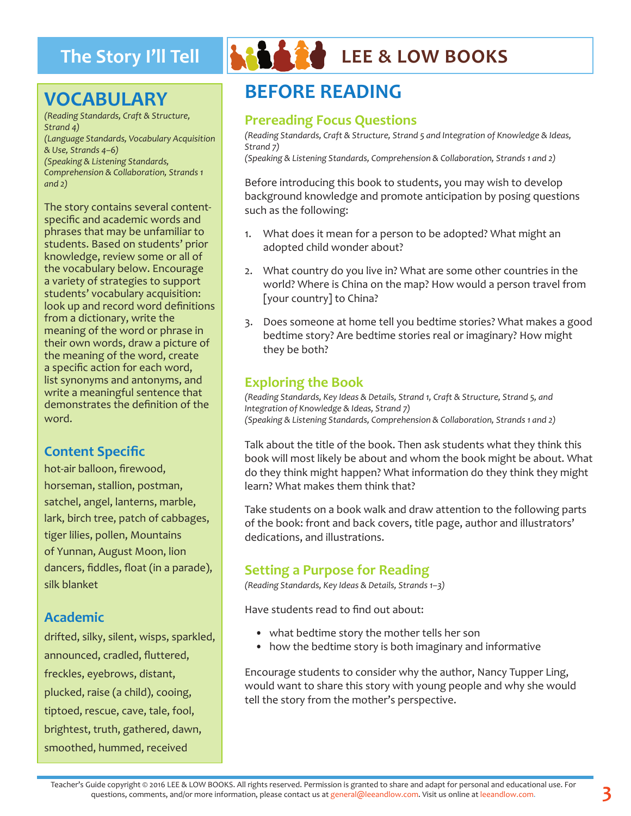### **VOCABULARY**

*(Reading Standards, Craft & Structure, Strand 4) (Language Standards, Vocabulary Acquisition & Use, Strands 4–6) (Speaking & Listening Standards, Comprehension & Collaboration, Strands 1 and 2)*

The story contains several contentspecific and academic words and phrases that may be unfamiliar to students. Based on students' prior knowledge, review some or all of the vocabulary below. Encourage a variety of strategies to support students' vocabulary acquisition: look up and record word definitions from a dictionary, write the meaning of the word or phrase in their own words, draw a picture of the meaning of the word, create a specific action for each word, list synonyms and antonyms, and write a meaningful sentence that demonstrates the definition of the word.

#### **Content Specific**

hot-air balloon, firewood, horseman, stallion, postman, satchel, angel, lanterns, marble, lark, birch tree, patch of cabbages, tiger lilies, pollen, Mountains of Yunnan, August Moon, lion dancers, fiddles, float (in a parade), silk blanket

#### **Academic**

drifted, silky, silent, wisps, sparkled, announced, cradled, fluttered, freckles, eyebrows, distant, plucked, raise (a child), cooing, tiptoed, rescue, cave, tale, fool, brightest, truth, gathered, dawn, smoothed, hummed, received



### The Story I'll Tell **And Are LEE & LOW BOOKS**

### **BEFORE READING**

#### **Prereading Focus Questions**

*(Reading Standards, Craft & Structure, Strand 5 and Integration of Knowledge & Ideas, Strand 7)*

*(Speaking & Listening Standards, Comprehension & Collaboration, Strands 1 and 2)*

Before introducing this book to students, you may wish to develop background knowledge and promote anticipation by posing questions such as the following:

- 1. What does it mean for a person to be adopted? What might an adopted child wonder about?
- 2. What country do you live in? What are some other countries in the world? Where is China on the map? How would a person travel from [your country] to China?
- 3. Does someone at home tell you bedtime stories? What makes a good bedtime story? Are bedtime stories real or imaginary? How might they be both?

#### **Exploring the Book**

*(Reading Standards, Key Ideas & Details, Strand 1, Craft & Structure, Strand 5, and Integration of Knowledge & Ideas, Strand 7) (Speaking & Listening Standards, Comprehension & Collaboration, Strands 1 and 2)*

Talk about the title of the book. Then ask students what they think this book will most likely be about and whom the book might be about. What do they think might happen? What information do they think they might learn? What makes them think that?

Take students on a book walk and draw attention to the following parts of the book: front and back covers, title page, author and illustrators' dedications, and illustrations.

#### **Setting a Purpose for Reading**

*(Reading Standards, Key Ideas & Details, Strands 1–3)*

Have students read to find out about:

- what bedtime story the mother tells her son
- how the bedtime story is both imaginary and informative

Encourage students to consider why the author, Nancy Tupper Ling, would want to share this story with young people and why she would tell the story from the mother's perspective.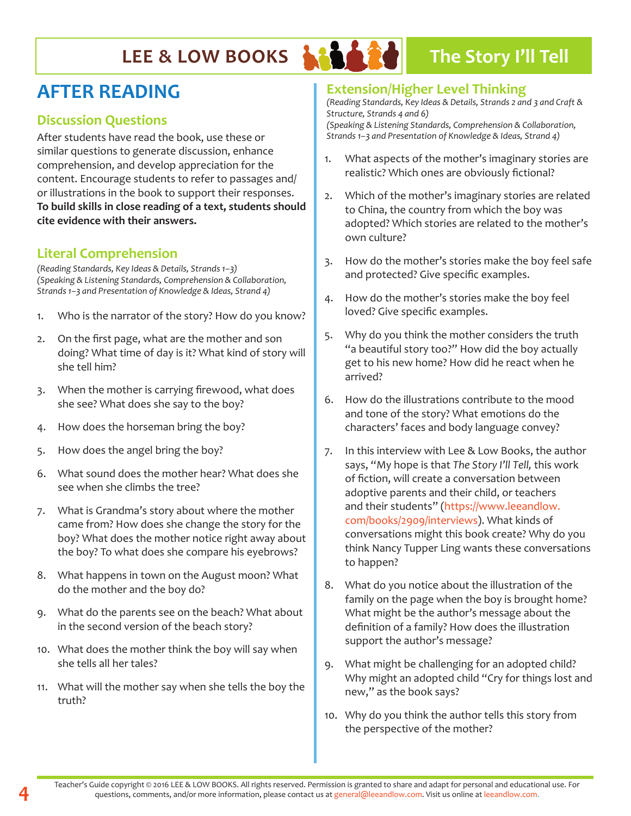### **LEE & LOW BOOKS AND A POWERF The Story I'll Tell**

### **AFTER READING**

#### **Discussion Questions**

After students have read the book, use these or similar questions to generate discussion, enhance comprehension, and develop appreciation for the content. Encourage students to refer to passages and/ or illustrations in the book to support their responses. **To build skills in close reading of a text, students should cite evidence with their answers.**

#### **Literal Comprehension**

*(Reading Standards, Key Ideas & Details, Strands 1–3) (Speaking & Listening Standards, Comprehension & Collaboration, Strands 1–3 and Presentation of Knowledge & Ideas, Strand 4)*

- 1. Who is the narrator of the story? How do you know?
- 2. On the first page, what are the mother and son doing? What time of day is it? What kind of story will she tell him?
- 3. When the mother is carrying firewood, what does she see? What does she say to the boy?
- 4. How does the horseman bring the boy?
- 5. How does the angel bring the boy?
- 6. What sound does the mother hear? What does she see when she climbs the tree?
- 7. What is Grandma's story about where the mother came from? How does she change the story for the boy? What does the mother notice right away about the boy? To what does she compare his eyebrows?
- 8. What happens in town on the August moon? What do the mother and the boy do?
- 9. What do the parents see on the beach? What about in the second version of the beach story?
- 10. What does the mother think the boy will say when she tells all her tales?
- 11. What will the mother say when she tells the boy the truth?

#### **Extension/Higher Level Thinking**

*(Reading Standards, Key Ideas & Details, Strands 2 and 3 and Craft & Structure, Strands 4 and 6) (Speaking & Listening Standards, Comprehension & Collaboration,* 

*Strands 1–3 and Presentation of Knowledge & Ideas, Strand 4)*

- 1. What aspects of the mother's imaginary stories are realistic? Which ones are obviously fictional?
- 2. Which of the mother's imaginary stories are related to China, the country from which the boy was adopted? Which stories are related to the mother's own culture?
- 3. How do the mother's stories make the boy feel safe and protected? Give specific examples.
- 4. How do the mother's stories make the boy feel loved? Give specific examples.
- 5. Why do you think the mother considers the truth "a beautiful story too?" How did the boy actually get to his new home? How did he react when he arrived?
- 6. How do the illustrations contribute to the mood and tone of the story? What emotions do the characters' faces and body language convey?
- 7. In this interview with Lee & Low Books, the author says, "My hope is that *The Story I'll Tell,* this work of fiction, will create a conversation between adoptive parents and their child, or teachers and their students" (https://www.leeandlow. com/books/2909/interviews). What kinds of conversations might this book create? Why do you think Nancy Tupper Ling wants these conversations to happen?
- 8. What do you notice about the illustration of the family on the page when the boy is brought home? What might be the author's message about the definition of a family? How does the illustration support the author's message?
- 9. What might be challenging for an adopted child? Why might an adopted child "Cry for things lost and new," as the book says?
- 10. Why do you think the author tells this story from the perspective of the mother?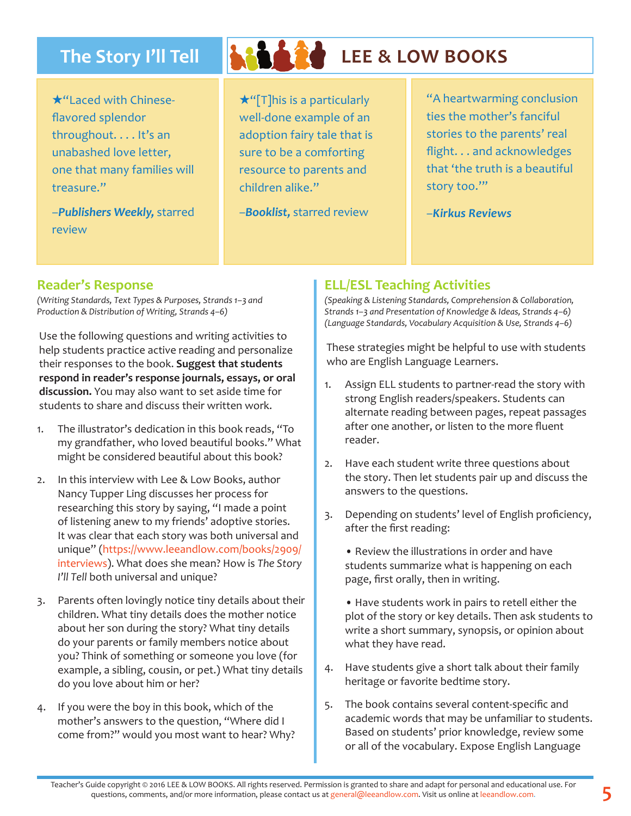### The Story I'll Tell **And Add** LEE & LOW BOOKS

 $\star$ "Laced with Chineseflavored splendor throughout. . . . It's an unabashed love letter, one that many families will treasure."

–*Publishers Weekly,* starred review

 $\star$ "[T]his is a particularly well-done example of an adoption fairy tale that is sure to be a comforting resource to parents and children alike."

–*Booklist,* starred review

"A heartwarming conclusion ties the mother's fanciful stories to the parents' real flight. . . and acknowledges that 'the truth is a beautiful story too.'"

–*Kirkus Reviews* 

#### **Reader's Response**

*(Writing Standards, Text Types & Purposes, Strands 1–3 and Production & Distribution of Writing, Strands 4–6)* 

Use the following questions and writing activities to help students practice active reading and personalize their responses to the book. **Suggest that students respond in reader's response journals, essays, or oral discussion.** You may also want to set aside time for students to share and discuss their written work.

- 1. The illustrator's dedication in this book reads, "To my grandfather, who loved beautiful books." What might be considered beautiful about this book?
- 2. In this interview with Lee & Low Books, author Nancy Tupper Ling discusses her process for researching this story by saying, "I made a point of listening anew to my friends' adoptive stories. It was clear that each story was both universal and unique" (https://www.leeandlow.com/books/2909/ interviews). What does she mean? How is *The Story I'll Tell* both universal and unique?
- 3. Parents often lovingly notice tiny details about their children. What tiny details does the mother notice about her son during the story? What tiny details do your parents or family members notice about you? Think of something or someone you love (for example, a sibling, cousin, or pet.) What tiny details do you love about him or her?
- 4. If you were the boy in this book, which of the mother's answers to the question, "Where did I come from?" would you most want to hear? Why?

#### **ELL/ESL Teaching Activities**

*(Speaking & Listening Standards, Comprehension & Collaboration, Strands 1–3 and Presentation of Knowledge & Ideas, Strands 4–6) (Language Standards, Vocabulary Acquisition & Use, Strands 4–6)*

These strategies might be helpful to use with students who are English Language Learners.

- 1. Assign ELL students to partner-read the story with strong English readers/speakers. Students can alternate reading between pages, repeat passages after one another, or listen to the more fluent reader.
- 2. Have each student write three questions about the story. Then let students pair up and discuss the answers to the questions.
- 3. Depending on students' level of English proficiency, after the first reading:
	- Review the illustrations in order and have students summarize what is happening on each page, first orally, then in writing.

• Have students work in pairs to retell either the plot of the story or key details. Then ask students to write a short summary, synopsis, or opinion about what they have read.

- 4. Have students give a short talk about their family heritage or favorite bedtime story.
- 5. The book contains several content-specific and academic words that may be unfamiliar to students. Based on students' prior knowledge, review some or all of the vocabulary. Expose English Language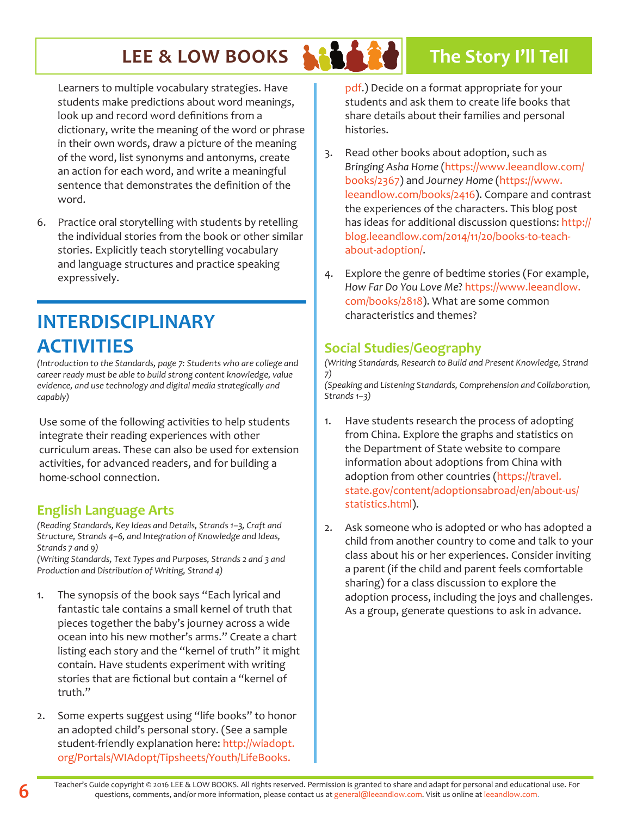### **LEE & LOW BOOKS AND A POWERF The Story I'll Tell**

Learners to multiple vocabulary strategies. Have students make predictions about word meanings, look up and record word definitions from a dictionary, write the meaning of the word or phrase in their own words, draw a picture of the meaning of the word, list synonyms and antonyms, create an action for each word, and write a meaningful sentence that demonstrates the definition of the word.

6. Practice oral storytelling with students by retelling the individual stories from the book or other similar stories. Explicitly teach storytelling vocabulary and language structures and practice speaking expressively.

### **INTERDISCIPLINARY ACTIVITIES**

*(Introduction to the Standards, page 7: Students who are college and career ready must be able to build strong content knowledge, value evidence, and use technology and digital media strategically and capably)*

Use some of the following activities to help students integrate their reading experiences with other curriculum areas. These can also be used for extension activities, for advanced readers, and for building a home-school connection.

### **English Language Arts**

*(Reading Standards, Key Ideas and Details, Strands 1–3, Craft and Structure, Strands 4–6, and Integration of Knowledge and Ideas, Strands 7 and 9)*

*(Writing Standards, Text Types and Purposes, Strands 2 and 3 and Production and Distribution of Writing, Strand 4)*

- 1. The synopsis of the book says "Each lyrical and fantastic tale contains a small kernel of truth that pieces together the baby's journey across a wide ocean into his new mother's arms." Create a chart listing each story and the "kernel of truth" it might contain. Have students experiment with writing stories that are fictional but contain a "kernel of truth."
- 2. Some experts suggest using "life books" to honor an adopted child's personal story. (See a sample student-friendly explanation here: http://wiadopt. org/Portals/WIAdopt/Tipsheets/Youth/LifeBooks.

pdf.) Decide on a format appropriate for your students and ask them to create life books that share details about their families and personal histories.

- 3. Read other books about adoption, such as *Bringing Asha Home* (https://www.leeandlow.com/ books/2367) and *Journey Home* (https://www. leeandlow.com/books/2416). Compare and contrast the experiences of the characters. This blog post has ideas for additional discussion questions: http:// blog.leeandlow.com/2014/11/20/books-to-teachabout-adoption/.
- 4. Explore the genre of bedtime stories (For example, *How Far Do You Love Me*? https://www.leeandlow. com/books/2818). What are some common characteristics and themes?

#### **Social Studies/Geography**

*(Writing Standards, Research to Build and Present Knowledge, Strand 7)*

*(Speaking and Listening Standards, Comprehension and Collaboration, Strands 1–3)* 

- 1. Have students research the process of adopting from China. Explore the graphs and statistics on the Department of State website to compare information about adoptions from China with adoption from other countries (https://travel. state.gov/content/adoptionsabroad/en/about-us/ statistics.html).
- 2. Ask someone who is adopted or who has adopted a child from another country to come and talk to your class about his or her experiences. Consider inviting a parent (if the child and parent feels comfortable sharing) for a class discussion to explore the adoption process, including the joys and challenges. As a group, generate questions to ask in advance.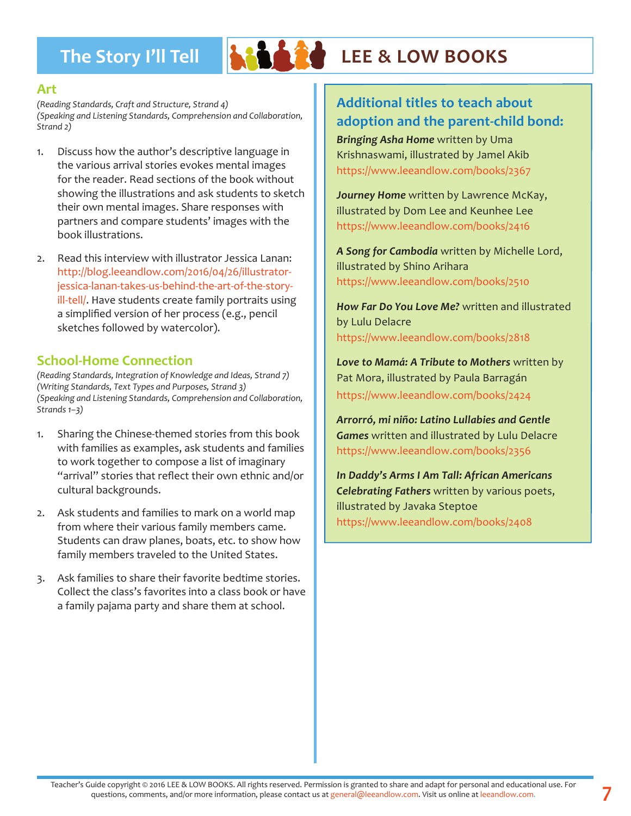

### The Story I'll Tell **And Are LEE & LOW BOOKS**

#### **Art**

*(Reading Standards, Craft and Structure, Strand 4) (Speaking and Listening Standards, Comprehension and Collaboration, Strand 2)*

- 1. Discuss how the author's descriptive language in the various arrival stories evokes mental images for the reader. Read sections of the book without showing the illustrations and ask students to sketch their own mental images. Share responses with partners and compare students' images with the book illustrations.
- 2. Read this interview with illustrator Jessica Lanan: http://blog.leeandlow.com/2016/04/26/illustratorjessica-lanan-takes-us-behind-the-art-of-the-storyill-tell/. Have students create family portraits using a simplified version of her process (e.g., pencil sketches followed by watercolor).

#### **School-Home Connection**

*(Reading Standards, Integration of Knowledge and Ideas, Strand 7) (Writing Standards, Text Types and Purposes, Strand 3) (Speaking and Listening Standards, Comprehension and Collaboration, Strands 1–3)* 

- 1. Sharing the Chinese-themed stories from this book with families as examples, ask students and families to work together to compose a list of imaginary "arrival" stories that reflect their own ethnic and/or cultural backgrounds.
- 2. Ask students and families to mark on a world map from where their various family members came. Students can draw planes, boats, etc. to show how family members traveled to the United States.
- 3. Ask families to share their favorite bedtime stories. Collect the class's favorites into a class book or have a family pajama party and share them at school.

### **Additional titles to teach about adoption and the parent-child bond:**

*Bringing Asha Home* written by Uma Krishnaswami, illustrated by Jamel Akib https://www.leeandlow.com/books/2367

*Journey Home* written by Lawrence McKay, illustrated by Dom Lee and Keunhee Lee https://www.leeandlow.com/books/2416

*A Song for Cambodia* written by Michelle Lord, illustrated by Shino Arihara https://www.leeandlow.com/books/2510

*How Far Do You Love Me?* written and illustrated by Lulu Delacre https://www.leeandlow.com/books/2818

*Love to Mamá: A Tribute to Mothers* written by Pat Mora, illustrated by Paula Barragán https://www.leeandlow.com/books/2424

*Arrorró, mi niño: Latino Lullabies and Gentle Games* written and illustrated by Lulu Delacre https://www.leeandlow.com/books/2356

*In Daddy's Arms I Am Tall: African Americans Celebrating Fathers* written by various poets, illustrated by Javaka Steptoe https://www.leeandlow.com/books/2408